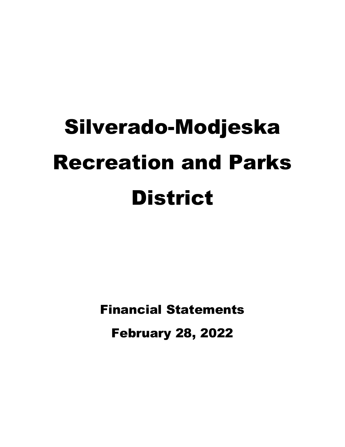Financial Statements February 28, 2022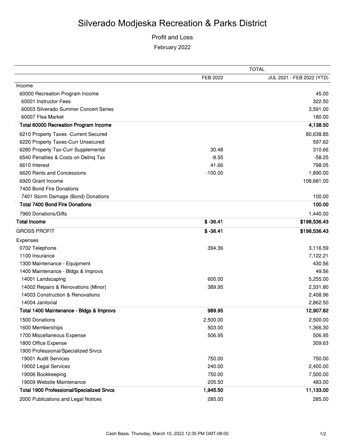## Profit and Loss February 2022

|                                                  |            | <b>TOTAL</b>              |
|--------------------------------------------------|------------|---------------------------|
|                                                  | FEB 2022   | JUL 2021 - FEB 2022 (YTD) |
| Income                                           |            |                           |
| 60000 Recreation Program Income                  |            | 45.00                     |
| 60001 Instructor Fees                            |            | 322.50                    |
| 60003 Silverado Summer Concert Series            |            | 3,591.00                  |
| 60007 Flea Market                                |            | 180.00                    |
| <b>Total 60000 Recreation Program Income</b>     |            | 4,138.50                  |
| 6210 Property Taxes - Current Secured            |            | 80,638.85                 |
| 6220 Property Taxes-Curr Unsecured               |            | 597.62                    |
| 6280 Property Tax-Curr Supplemental              | 30.48      | 310.66                    |
| 6540 Penalties & Costs on Deling Tax             | $-8.55$    | $-58.25$                  |
| 6610 Interest                                    | 41.66      | 798.05                    |
| 6620 Rents and Concessions                       | $-100.00$  | 1,890.00                  |
| 6920 Grant Income                                |            | 108,681.00                |
| 7400 Bond Fire Donations                         |            |                           |
| 7401 Storm Damage (Bond) Donations               |            | 100.00                    |
| <b>Total 7400 Bond Fire Donations</b>            |            | 100.00                    |
| 7960 Donations/Gifts                             |            | 1,440.00                  |
| <b>Total Income</b>                              | $$ -36.41$ | \$198,536.43              |
| <b>GROSS PROFIT</b>                              | $$ -36.41$ | \$198,536.43              |
| Expenses                                         |            |                           |
| 0702 Telephone                                   | 394.36     | 3,116.59                  |
| 1100 Insurance                                   |            | 7,122.21                  |
| 1300 Maintenance - Equipment                     |            | 430.56                    |
| 1400 Maintenance - Bldgs & Improvs               |            | 49.56                     |
| 14001 Landscaping                                | 600.00     | 5,255.00                  |
| 14002 Repairs & Renovations (Minor)              | 389.95     | 2,331.80                  |
| 14003 Construction & Renovations                 |            | 2,408.96                  |
| 14004 Janitorial                                 |            | 2,862.50                  |
| Total 1400 Maintenance - Bldgs & Improvs         | 989.95     | 12,907.82                 |
| 1500 Donations                                   | 2,500.00   | 2,500.00                  |
| 1600 Memberships                                 | 503.00     | 1,366.30                  |
| 1700 Miscellaneous Expense                       | 506.95     | 506.95                    |
| 1800 Office Expense                              |            | 309.63                    |
| 1900 Professional/Specialized Srvcs              |            |                           |
| 19001 Audit Services                             | 750.00     | 750.00                    |
| 19002 Legal Services                             | 240.00     | 2,400.00                  |
| 19006 Bookkeeping                                | 750.00     | 7,500.00                  |
| 19009 Website Maintenance                        | 205.50     | 483.00                    |
| <b>Total 1900 Professional/Specialized Srvcs</b> | 1,945.50   | 11,133.00                 |
| 2000 Publications and Legal Notices              | 285.00     | 285.00                    |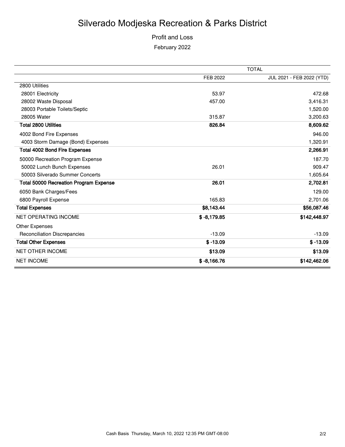Profit and Loss February 2022

|                                               |               | <b>TOTAL</b>              |
|-----------------------------------------------|---------------|---------------------------|
|                                               | FEB 2022      | JUL 2021 - FEB 2022 (YTD) |
| 2800 Utilities                                |               |                           |
| 28001 Electricity                             | 53.97         | 472.68                    |
| 28002 Waste Disposal                          | 457.00        | 3,416.31                  |
| 28003 Portable Toilets/Septic                 |               | 1,520.00                  |
| 28005 Water                                   | 315.87        | 3,200.63                  |
| <b>Total 2800 Utilities</b>                   | 826.84        | 8,609.62                  |
| 4002 Bond Fire Expenses                       |               | 946.00                    |
| 4003 Storm Damage (Bond) Expenses             |               | 1,320.91                  |
| <b>Total 4002 Bond Fire Expenses</b>          |               | 2,266.91                  |
| 50000 Recreation Program Expense              |               | 187.70                    |
| 50002 Lunch Bunch Expenses                    | 26.01         | 909.47                    |
| 50003 Silverado Summer Concerts               |               | 1,605.64                  |
| <b>Total 50000 Recreation Program Expense</b> | 26.01         | 2,702.81                  |
| 6050 Bank Charges/Fees                        |               | 129.00                    |
| 6800 Payroll Expense                          | 165.83        | 2,701.06                  |
| <b>Total Expenses</b>                         | \$8,143.44    | \$56,087.46               |
| <b>NET OPERATING INCOME</b>                   | $$ -8,179.85$ | \$142,448.97              |
| Other Expenses                                |               |                           |
| <b>Reconciliation Discrepancies</b>           | $-13.09$      | $-13.09$                  |
| <b>Total Other Expenses</b>                   | $$ -13.09$    | $$ -13.09$                |
| <b>NET OTHER INCOME</b>                       | \$13.09       | \$13.09                   |
| <b>NET INCOME</b>                             | $$ -8,166.76$ | \$142,462.06              |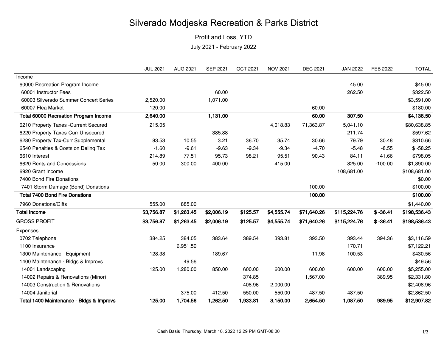Profit and Loss, YTD

July 2021 - February 2022

|                                          | <b>JUL 2021</b> | AUG 2021   | <b>SEP 2021</b> | <b>OCT 2021</b> | <b>NOV 2021</b> | <b>DEC 2021</b> | <b>JAN 2022</b> | FEB 2022   | <b>TOTAL</b> |
|------------------------------------------|-----------------|------------|-----------------|-----------------|-----------------|-----------------|-----------------|------------|--------------|
| Income                                   |                 |            |                 |                 |                 |                 |                 |            |              |
| 60000 Recreation Program Income          |                 |            |                 |                 |                 |                 | 45.00           |            | \$45.00      |
| 60001 Instructor Fees                    |                 |            | 60.00           |                 |                 |                 | 262.50          |            | \$322.50     |
| 60003 Silverado Summer Concert Series    | 2,520.00        |            | 1,071.00        |                 |                 |                 |                 |            | \$3,591.00   |
| 60007 Flea Market                        | 120.00          |            |                 |                 |                 | 60.00           |                 |            | \$180.00     |
| Total 60000 Recreation Program Income    | 2,640.00        |            | 1,131.00        |                 |                 | 60.00           | 307.50          |            | \$4,138.50   |
| 6210 Property Taxes - Current Secured    | 215.05          |            |                 |                 | 4,018.83        | 71,363.87       | 5,041.10        |            | \$80,638.85  |
| 6220 Property Taxes-Curr Unsecured       |                 |            | 385.88          |                 |                 |                 | 211.74          |            | \$597.62     |
| 6280 Property Tax-Curr Supplemental      | 83.53           | 10.55      | 3.21            | 36.70           | 35.74           | 30.66           | 79.79           | 30.48      | \$310.66     |
| 6540 Penalties & Costs on Deling Tax     | $-1.60$         | $-9.61$    | $-9.63$         | $-9.34$         | $-9.34$         | $-4.70$         | $-5.48$         | $-8.55$    | $$ -58.25$   |
| 6610 Interest                            | 214.89          | 77.51      | 95.73           | 98.21           | 95.51           | 90.43           | 84.11           | 41.66      | \$798.05     |
| 6620 Rents and Concessions               | 50.00           | 300.00     | 400.00          |                 | 415.00          |                 | 825.00          | $-100.00$  | \$1,890.00   |
| 6920 Grant Income                        |                 |            |                 |                 |                 |                 | 108,681.00      |            | \$108,681.00 |
| 7400 Bond Fire Donations                 |                 |            |                 |                 |                 |                 |                 |            | \$0.00       |
| 7401 Storm Damage (Bond) Donations       |                 |            |                 |                 |                 | 100.00          |                 |            | \$100.00     |
| <b>Total 7400 Bond Fire Donations</b>    |                 |            |                 |                 |                 | 100.00          |                 |            | \$100.00     |
| 7960 Donations/Gifts                     | 555.00          | 885.00     |                 |                 |                 |                 |                 |            | \$1,440.00   |
| <b>Total Income</b>                      | \$3,756.87      | \$1,263.45 | \$2,006.19      | \$125.57        | \$4,555.74      | \$71,640.26     | \$115,224.76    | $$ -36.41$ | \$198,536.43 |
| <b>GROSS PROFIT</b>                      | \$3,756.87      | \$1,263.45 | \$2,006.19      | \$125.57        | \$4,555.74      | \$71,640.26     | \$115,224.76    | $$ -36.41$ | \$198,536.43 |
| Expenses                                 |                 |            |                 |                 |                 |                 |                 |            |              |
| 0702 Telephone                           | 384.25          | 384.05     | 383.64          | 389.54          | 393.81          | 393.50          | 393.44          | 394.36     | \$3,116.59   |
| 1100 Insurance                           |                 | 6,951.50   |                 |                 |                 |                 | 170.71          |            | \$7,122.21   |
| 1300 Maintenance - Equipment             | 128.38          |            | 189.67          |                 |                 | 11.98           | 100.53          |            | \$430.56     |
| 1400 Maintenance - Bldgs & Improvs       |                 | 49.56      |                 |                 |                 |                 |                 |            | \$49.56      |
| 14001 Landscaping                        | 125.00          | 1,280.00   | 850.00          | 600.00          | 600.00          | 600.00          | 600.00          | 600.00     | \$5,255.00   |
| 14002 Repairs & Renovations (Minor)      |                 |            |                 | 374.85          |                 | 1,567.00        |                 | 389.95     | \$2,331.80   |
| 14003 Construction & Renovations         |                 |            |                 | 408.96          | 2,000.00        |                 |                 |            | \$2,408.96   |
| 14004 Janitorial                         |                 | 375.00     | 412.50          | 550.00          | 550.00          | 487.50          | 487.50          |            | \$2,862.50   |
| Total 1400 Maintenance - Bldgs & Improvs | 125.00          | 1,704.56   | 1,262.50        | 1,933.81        | 3,150.00        | 2,654.50        | 1,087.50        | 989.95     | \$12,907.82  |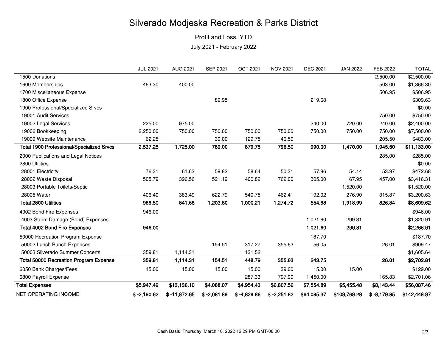Profit and Loss, YTD

July 2021 - February 2022

|                                                  | <b>JUL 2021</b> | <b>AUG 2021</b> | <b>SEP 2021</b> | <b>OCT 2021</b> | <b>NOV 2021</b> | <b>DEC 2021</b> | <b>JAN 2022</b> | FEB 2022      | <b>TOTAL</b> |
|--------------------------------------------------|-----------------|-----------------|-----------------|-----------------|-----------------|-----------------|-----------------|---------------|--------------|
| 1500 Donations                                   |                 |                 |                 |                 |                 |                 |                 | 2,500.00      | \$2,500.00   |
| 1600 Memberships                                 | 463.30          | 400.00          |                 |                 |                 |                 |                 | 503.00        | \$1,366.30   |
| 1700 Miscellaneous Expense                       |                 |                 |                 |                 |                 |                 |                 | 506.95        | \$506.95     |
| 1800 Office Expense                              |                 |                 | 89.95           |                 |                 | 219.68          |                 |               | \$309.63     |
| 1900 Professional/Specialized Srvcs              |                 |                 |                 |                 |                 |                 |                 |               | \$0.00       |
| 19001 Audit Services                             |                 |                 |                 |                 |                 |                 |                 | 750.00        | \$750.00     |
| 19002 Legal Services                             | 225.00          | 975.00          |                 |                 |                 | 240.00          | 720.00          | 240.00        | \$2,400.00   |
| 19006 Bookkeeping                                | 2,250.00        | 750.00          | 750.00          | 750.00          | 750.00          | 750.00          | 750.00          | 750.00        | \$7,500.00   |
| 19009 Website Maintenance                        | 62.25           |                 | 39.00           | 129.75          | 46.50           |                 |                 | 205.50        | \$483.00     |
| <b>Total 1900 Professional/Specialized Srvcs</b> | 2,537.25        | 1,725.00        | 789.00          | 879.75          | 796.50          | 990.00          | 1,470.00        | 1,945.50      | \$11,133.00  |
| 2000 Publications and Legal Notices              |                 |                 |                 |                 |                 |                 |                 | 285.00        | \$285.00     |
| 2800 Utilities                                   |                 |                 |                 |                 |                 |                 |                 |               | \$0.00       |
| 28001 Electricity                                | 76.31           | 61.63           | 59.82           | 58.64           | 50.31           | 57.86           | 54.14           | 53.97         | \$472.68     |
| 28002 Waste Disposal                             | 505.79          | 396.56          | 521.19          | 400.82          | 762.00          | 305.00          | 67.95           | 457.00        | \$3,416.31   |
| 28003 Portable Toilets/Septic                    |                 |                 |                 |                 |                 |                 | 1,520.00        |               | \$1,520.00   |
| 28005 Water                                      | 406.40          | 383.49          | 622.79          | 540.75          | 462.41          | 192.02          | 276.90          | 315.87        | \$3,200.63   |
| Total 2800 Utilities                             | 988.50          | 841.68          | 1,203.80        | 1,000.21        | 1,274.72        | 554.88          | 1,918.99        | 826.84        | \$8,609.62   |
| 4002 Bond Fire Expenses                          | 946.00          |                 |                 |                 |                 |                 |                 |               | \$946.00     |
| 4003 Storm Damage (Bond) Expenses                |                 |                 |                 |                 |                 | 1,021.60        | 299.31          |               | \$1,320.91   |
| <b>Total 4002 Bond Fire Expenses</b>             | 946.00          |                 |                 |                 |                 | 1,021.60        | 299.31          |               | \$2,266.91   |
| 50000 Recreation Program Expense                 |                 |                 |                 |                 |                 | 187.70          |                 |               | \$187.70     |
| 50002 Lunch Bunch Expenses                       |                 |                 | 154.51          | 317.27          | 355.63          | 56.05           |                 | 26.01         | \$909.47     |
| 50003 Silverado Summer Concerts                  | 359.81          | 1,114.31        |                 | 131.52          |                 |                 |                 |               | \$1,605.64   |
| <b>Total 50000 Recreation Program Expense</b>    | 359.81          | 1,114.31        | 154.51          | 448.79          | 355.63          | 243.75          |                 | 26.01         | \$2,702.81   |
| 6050 Bank Charges/Fees                           | 15.00           | 15.00           | 15.00           | 15.00           | 39.00           | 15.00           | 15.00           |               | \$129.00     |
| 6800 Payroll Expense                             |                 |                 |                 | 287.33          | 797.90          | 1,450.00        |                 | 165.83        | \$2,701.06   |
| <b>Total Expenses</b>                            | \$5,947.49      | \$13,136.10     | \$4,088.07      | \$4,954.43      | \$6,807.56      | \$7,554.89      | \$5,455.48      | \$8,143.44    | \$56,087.46  |
| <b>NET OPERATING INCOME</b>                      | $$ -2,190.62$   | $$ -11,872.65$  | $$ -2,081.88$   | $$ -4,828.86$   | $$ -2,251.82$   | \$64,085.37     | \$109,769.28    | $$ -8,179.85$ | \$142,448.97 |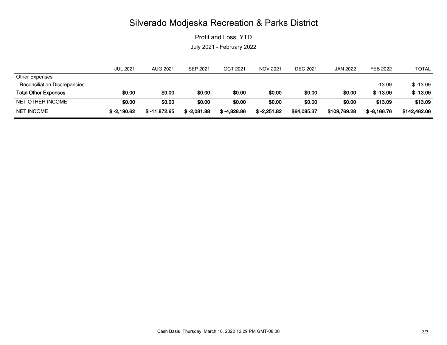Profit and Loss, YTD

July 2021 - February 2022

|                                     | <b>JUL 2021</b> | <b>AUG 2021</b> | <b>SEP 2021</b> | <b>OCT 2021</b> | <b>NOV 2021</b> | <b>DEC 2021</b> | <b>JAN 2022</b> | FEB 2022      | TOTAL        |
|-------------------------------------|-----------------|-----------------|-----------------|-----------------|-----------------|-----------------|-----------------|---------------|--------------|
| Other Expenses                      |                 |                 |                 |                 |                 |                 |                 |               |              |
| <b>Reconciliation Discrepancies</b> |                 |                 |                 |                 |                 |                 |                 | $-13.09$      | $$-13.09$    |
| <b>Total Other Expenses</b>         | \$0.00          | \$0.00          | \$0.00          | \$0.00          | \$0.00          | \$0.00          | \$0.00          | $$ -13.09$    | $$ -13.09$   |
| NET OTHER INCOME                    | \$0.00          | \$0.00          | \$0.00          | \$0.00          | \$0.00          | \$0.00          | \$0.00          | \$13.09       | \$13.09      |
| <b>NET INCOME</b>                   | $$ -2,190.62$   | $$ -11,872.65$  | $$ -2,081.88$   | $$ -4.828.86$   | $$ -2.251.82$   | \$64,085.37     | \$109,769.28    | $$ -8,166.76$ | \$142,462.06 |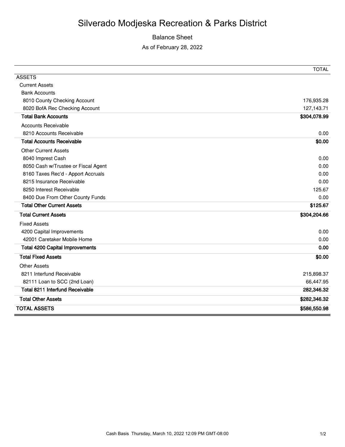#### Balance Sheet

As of February 28, 2022

|                                        | <b>TOTAL</b> |
|----------------------------------------|--------------|
| <b>ASSETS</b>                          |              |
| <b>Current Assets</b>                  |              |
| <b>Bank Accounts</b>                   |              |
| 8010 County Checking Account           | 176,935.28   |
| 8020 BofA Rec Checking Account         | 127,143.71   |
| <b>Total Bank Accounts</b>             | \$304,078.99 |
| <b>Accounts Receivable</b>             |              |
| 8210 Accounts Receivable               | 0.00         |
| <b>Total Accounts Receivable</b>       | \$0.00       |
| <b>Other Current Assets</b>            |              |
| 8040 Imprest Cash                      | 0.00         |
| 8050 Cash w/Trustee or Fiscal Agent    | 0.00         |
| 8160 Taxes Rec'd - Apport Accruals     | 0.00         |
| 8215 Insurance Receivable              | 0.00         |
| 8250 Interest Receivable               | 125.67       |
| 8400 Due From Other County Funds       | 0.00         |
| <b>Total Other Current Assets</b>      | \$125.67     |
| <b>Total Current Assets</b>            | \$304,204.66 |
| <b>Fixed Assets</b>                    |              |
| 4200 Capital Improvements              | 0.00         |
| 42001 Caretaker Mobile Home            | 0.00         |
| <b>Total 4200 Capital Improvements</b> | 0.00         |
| <b>Total Fixed Assets</b>              | \$0.00       |
| <b>Other Assets</b>                    |              |
| 8211 Interfund Receivable              | 215,898.37   |
| 82111 Loan to SCC (2nd Loan)           | 66,447.95    |
| Total 8211 Interfund Receivable        | 282,346.32   |
| <b>Total Other Assets</b>              | \$282,346.32 |
| <b>TOTAL ASSETS</b>                    | \$586,550.98 |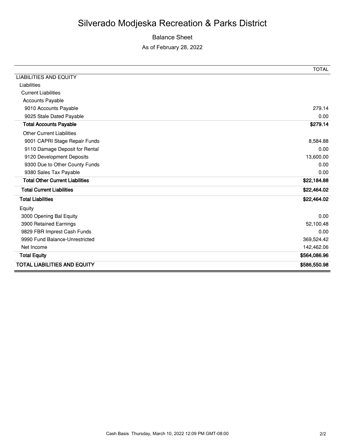### Balance Sheet

As of February 28, 2022

|                                        | <b>TOTAL</b> |
|----------------------------------------|--------------|
| <b>LIABILITIES AND EQUITY</b>          |              |
| Liabilities                            |              |
| <b>Current Liabilities</b>             |              |
| <b>Accounts Payable</b>                |              |
| 9010 Accounts Payable                  | 279.14       |
| 9025 Stale Dated Payable               | 0.00         |
| <b>Total Accounts Payable</b>          | \$279.14     |
| <b>Other Current Liabilities</b>       |              |
| 9001 CAPRI Stage Repair Funds          | 8,584.88     |
| 9110 Damage Deposit for Rental         | 0.00         |
| 9120 Development Deposits              | 13,600.00    |
| 9300 Due to Other County Funds         | 0.00         |
| 9380 Sales Tax Payable                 | 0.00         |
| <b>Total Other Current Liabilities</b> | \$22,184.88  |
| <b>Total Current Liabilities</b>       | \$22,464.02  |
| <b>Total Liabilities</b>               | \$22,464.02  |
| Equity                                 |              |
| 3000 Opening Bal Equity                | 0.00         |
| 3900 Retained Earnings                 | 52,100.48    |
| 9829 FBR Imprest Cash Funds            | 0.00         |
| 9990 Fund Balance-Unrestricted         | 369,524.42   |
| Net Income                             | 142,462.06   |
| <b>Total Equity</b>                    | \$564,086.96 |
| <b>TOTAL LIABILITIES AND EQUITY</b>    | \$586,550.98 |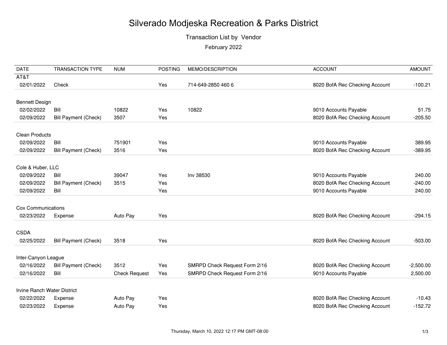## Transaction List by Vendor

February 2022

| <b>DATE</b>                 | <b>TRANSACTION TYPE</b>     | <b>NUM</b>           | <b>POSTING</b> | MEMO/DESCRIPTION              | <b>ACCOUNT</b>                 | <b>AMOUNT</b> |
|-----------------------------|-----------------------------|----------------------|----------------|-------------------------------|--------------------------------|---------------|
| AT&T                        |                             |                      |                |                               |                                |               |
| 02/01/2022                  | Check                       |                      | Yes            | 714-649-2850 460 6            | 8020 BofA Rec Checking Account | $-100.21$     |
|                             |                             |                      |                |                               |                                |               |
| <b>Bennett Design</b>       |                             |                      |                |                               |                                |               |
| 02/02/2022                  | Bill                        | 10822                | Yes            | 10822                         | 9010 Accounts Payable          | 51.75         |
| 02/09/2022                  | <b>Bill Payment (Check)</b> | 3507                 | Yes            |                               | 8020 BofA Rec Checking Account | $-205.50$     |
| <b>Clean Products</b>       |                             |                      |                |                               |                                |               |
| 02/09/2022                  | Bill                        | 751901               | Yes            |                               | 9010 Accounts Payable          | 389.95        |
| 02/09/2022                  | <b>Bill Payment (Check)</b> | 3516                 | Yes            |                               | 8020 BofA Rec Checking Account | $-389.95$     |
|                             |                             |                      |                |                               |                                |               |
| Cole & Huber, LLC           |                             |                      |                |                               |                                |               |
| 02/09/2022                  | Bill                        | 39047                | Yes            | Inv 38530                     | 9010 Accounts Payable          | 240.00        |
| 02/09/2022                  | <b>Bill Payment (Check)</b> | 3515                 | Yes            |                               | 8020 BofA Rec Checking Account | $-240.00$     |
| 02/09/2022                  | Bill                        |                      | Yes            |                               | 9010 Accounts Payable          | 240.00        |
| Cox Communications          |                             |                      |                |                               |                                |               |
| 02/23/2022                  | Expense                     | Auto Pay             | Yes            |                               | 8020 BofA Rec Checking Account | $-294.15$     |
|                             |                             |                      |                |                               |                                |               |
| <b>CSDA</b>                 |                             |                      |                |                               |                                |               |
| 02/25/2022                  | <b>Bill Payment (Check)</b> | 3518                 | Yes            |                               | 8020 BofA Rec Checking Account | $-503.00$     |
| Inter-Canyon League         |                             |                      |                |                               |                                |               |
| 02/16/2022                  | <b>Bill Payment (Check)</b> | 3512                 | Yes            | SMRPD Check Request Form 2/16 | 8020 BofA Rec Checking Account | $-2,500.00$   |
| 02/16/2022                  | Bill                        | <b>Check Request</b> | Yes            | SMRPD Check Request Form 2/16 | 9010 Accounts Payable          | 2,500.00      |
|                             |                             |                      |                |                               |                                |               |
| Irvine Ranch Water District |                             |                      |                |                               |                                |               |
| 02/22/2022                  | Expense                     | Auto Pay             | Yes            |                               | 8020 BofA Rec Checking Account | $-10.43$      |
| 02/23/2022                  | Expense                     | Auto Pay             | Yes            |                               | 8020 BofA Rec Checking Account | $-152.72$     |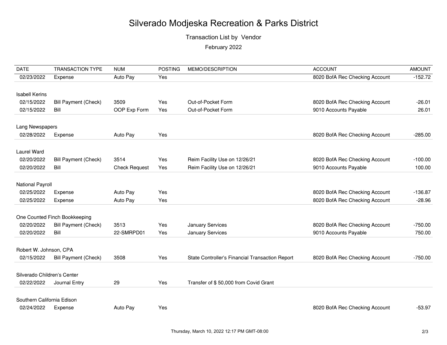Transaction List by Vendor

February 2022

| <b>DATE</b>                 | <b>TRANSACTION TYPE</b>       | <b>NUM</b>           | <b>POSTING</b> | MEMO/DESCRIPTION                                | <b>ACCOUNT</b>                 | <b>AMOUNT</b> |
|-----------------------------|-------------------------------|----------------------|----------------|-------------------------------------------------|--------------------------------|---------------|
| 02/23/2022                  | Expense                       | Auto Pay             | Yes            |                                                 | 8020 BofA Rec Checking Account | $-152.72$     |
|                             |                               |                      |                |                                                 |                                |               |
| <b>Isabell Kerins</b>       |                               |                      |                |                                                 |                                |               |
| 02/15/2022                  | <b>Bill Payment (Check)</b>   | 3509                 | Yes            | Out-of-Pocket Form                              | 8020 BofA Rec Checking Account | $-26.01$      |
| 02/15/2022                  | Bill                          | OOP Exp Form         | Yes            | Out-of-Pocket Form                              | 9010 Accounts Payable          | 26.01         |
|                             |                               |                      |                |                                                 |                                |               |
| Lang Newspapers             |                               |                      |                |                                                 |                                |               |
| 02/28/2022                  | Expense                       | Auto Pay             | Yes            |                                                 | 8020 BofA Rec Checking Account | $-285.00$     |
|                             |                               |                      |                |                                                 |                                |               |
| <b>Laurel Ward</b>          |                               |                      |                |                                                 |                                |               |
| 02/20/2022                  | <b>Bill Payment (Check)</b>   | 3514                 | Yes            | Reim Facility Use on 12/26/21                   | 8020 BofA Rec Checking Account | $-100.00$     |
| 02/20/2022                  | Bill                          | <b>Check Request</b> | Yes            | Reim Facility Use on 12/26/21                   | 9010 Accounts Payable          | 100.00        |
|                             |                               |                      |                |                                                 |                                |               |
| <b>National Payroll</b>     |                               |                      |                |                                                 |                                |               |
| 02/25/2022                  | Expense                       | Auto Pay             | Yes            |                                                 | 8020 BofA Rec Checking Account | $-136.87$     |
| 02/25/2022                  | Expense                       | Auto Pay             | Yes            |                                                 | 8020 BofA Rec Checking Account | $-28.96$      |
|                             |                               |                      |                |                                                 |                                |               |
|                             | One Counted Finch Bookkeeping |                      |                |                                                 |                                |               |
| 02/20/2022                  | <b>Bill Payment (Check)</b>   | 3513                 | Yes            | January Services                                | 8020 BofA Rec Checking Account | $-750.00$     |
| 02/20/2022                  | Bill                          | 22-SMRPD01           | Yes            | January Services                                | 9010 Accounts Payable          | 750.00        |
|                             |                               |                      |                |                                                 |                                |               |
| Robert W. Johnson, CPA      |                               |                      |                |                                                 |                                |               |
| 02/15/2022                  | <b>Bill Payment (Check)</b>   | 3508                 | Yes            | State Controller's Financial Transaction Report | 8020 BofA Rec Checking Account | $-750.00$     |
| Silverado Children's Center |                               |                      |                |                                                 |                                |               |
|                             |                               |                      |                |                                                 |                                |               |
| 02/22/2022                  | Journal Entry                 | 29                   | Yes            | Transfer of \$50,000 from Covid Grant           |                                |               |
| Southern California Edison  |                               |                      |                |                                                 |                                |               |
| 02/24/2022                  |                               | Auto Pay             | Yes            |                                                 |                                | $-53.97$      |
|                             | Expense                       |                      |                |                                                 | 8020 BofA Rec Checking Account |               |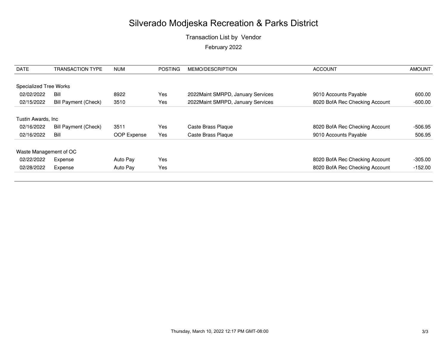## Transaction List by Vendor February 2022

| <b>DATE</b>                   | <b>TRANSACTION TYPE</b>     | <b>NUM</b>  | <b>POSTING</b> | MEMO/DESCRIPTION                   | <b>ACCOUNT</b>                 | <b>AMOUNT</b> |
|-------------------------------|-----------------------------|-------------|----------------|------------------------------------|--------------------------------|---------------|
| <b>Specialized Tree Works</b> |                             |             |                |                                    |                                |               |
| 02/02/2022                    | Bill                        | 8922        | Yes            | 2022 Maint SMRPD, January Services | 9010 Accounts Payable          | 600.00        |
| 02/15/2022                    | <b>Bill Payment (Check)</b> | 3510        | Yes            | 2022 Maint SMRPD, January Services | 8020 BofA Rec Checking Account | $-600.00$     |
| Tustin Awards, Inc.           |                             |             |                |                                    |                                |               |
| 02/16/2022                    | <b>Bill Payment (Check)</b> | 3511        | Yes            | Caste Brass Plaque                 | 8020 BofA Rec Checking Account | -506.95       |
| 02/16/2022                    | Bill                        | OOP Expense | Yes            | Caste Brass Plaque                 | 9010 Accounts Payable          | 506.95        |
| Waste Management of OC        |                             |             |                |                                    |                                |               |
| 02/22/2022                    | Expense                     | Auto Pay    | Yes            |                                    | 8020 BofA Rec Checking Account | $-305.00$     |
| 02/28/2022                    | Expense                     | Auto Pay    | Yes            |                                    | 8020 BofA Rec Checking Account | $-152.00$     |